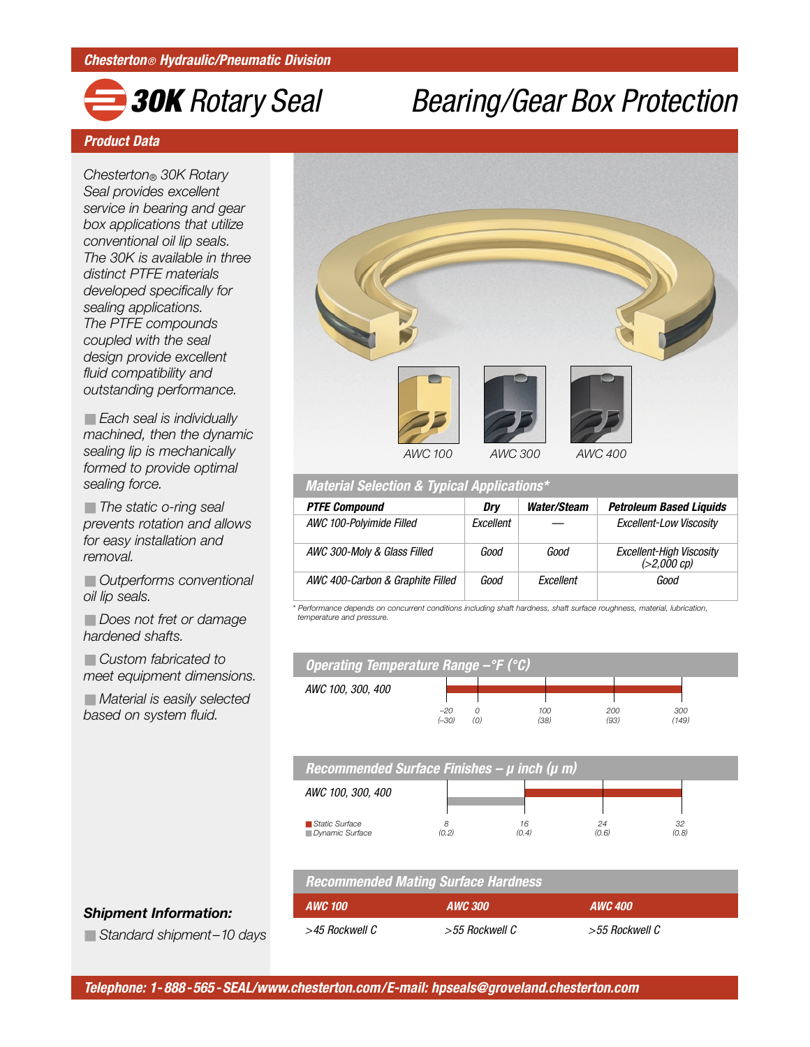## *30K Rotary Seal Bearing/Gear Box Protection*

#### *Product Data*

*Chesterton® 30K Rotary Seal provides excellent service in bearing and gear box applications that utilize conventional oil lip seals. The 30K is available in three distinct PTFE materials developed specifically for sealing applications. The PTFE compounds coupled with the seal design provide excellent fluid compatibility and outstanding performance.* 

■ *Each seal is individually machined, then the dynamic sealing lip is mechanically formed to provide optimal sealing force.*

■ *The static o-ring seal prevents rotation and allows for easy installation and removal.*

■ *Outperforms conventional oil lip seals.*

■ *Does not fret or damage hardened shafts.*

■ *Custom fabricated to meet equipment dimensions.*

■ *Material is easily selected based on system fluid.* 



*Material Selection & Typical Applications\**

| <b>PTFE Compound</b>             | Drv              | Water/Steam | <b>Petroleum Based Liquids</b>            |  |
|----------------------------------|------------------|-------------|-------------------------------------------|--|
| AWC 100-Polyimide Filled         | <b>Fxcellent</b> |             | <b>Excellent-Low Viscosity</b>            |  |
| AWC 300-Moly & Glass Filled      | Good             | Good        | Excellent-High Viscosity<br>$(>2,000$ cp) |  |
| AWC 400-Carbon & Graphite Filled | Good             | Excellent   | Good                                      |  |

*\* Performance depends on concurrent conditions including shaft hardness, shaft surface roughness, material, lubrication, temperature and pressure.*



## *Recommended Mating Surface Hardness*

| <b>AWC 100</b> | <b>AWC 300</b> | <b>AWC 400</b> |  |  |
|----------------|----------------|----------------|--|--|
| >45 Rockwell C | >55 Rockwell C | >55 Rockwell C |  |  |

#### *Shipment Information:*

■ *Standard shipment-10 days*